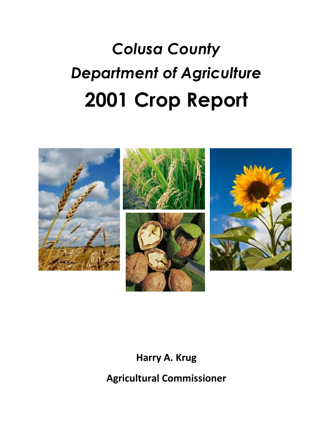# *Colusa County Department of Agriculture* **2001 Crop Report**



**Harry A. Krug**

**Agricultural Commissioner**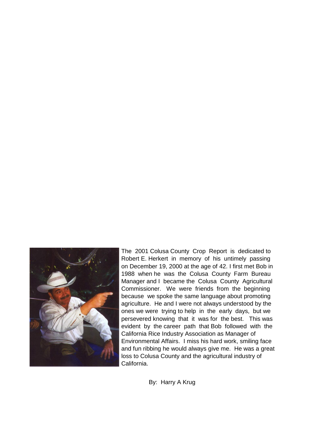

Environmental Affairs. I miss his hard work, smiling face and fun ribbing he would always give me. He was a great loss to Colusa County and the agricultural industry of California. ones we were trying to help in the early days, but we persevered knowing that it was for the best. This was evident by the career path that Bob followed with the California Rice Industry Association as Manager of Manager and I became the Colusa County Agricultural Commissioner. We were friends from the beginning because we spoke the same language about promoting agriculture. He and I were not always understood by the The 2001 Colusa County Crop Report is dedicated to Robert E. Herkert in memory of his untimely passing on December 19, 2000 at the age of 42. I first met Bob in 1988 when he was the Colusa County Farm Bureau

By: Harry A Krug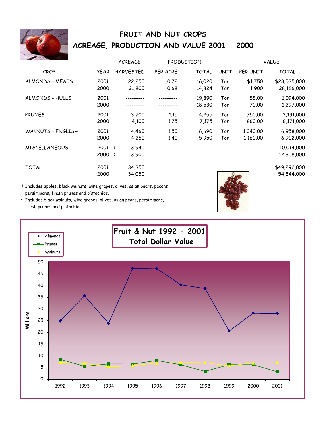

# **FRUIT AND NUT CROPS ACREAGE, PRODUCTION AND VALUE 2001 - 2000**

|                      |              | <b>ACREAGE</b>                                     | PRODUCTION   |                  |             |                      | <b>VALUE</b>               |
|----------------------|--------------|----------------------------------------------------|--------------|------------------|-------------|----------------------|----------------------------|
| <b>CROP</b>          | <b>YEAR</b>  | <b>HARVESTED</b>                                   | PER ACRE     | <b>TOTAL</b>     | <b>UNIT</b> | PER UNIT             | <b>TOTAL</b>               |
| ALMONDS - MEATS      | 2001<br>2000 | 22,250<br>21,800                                   | 0.72<br>0.68 | 16,020<br>14,824 | Ton<br>Ton  | \$1,750<br>1,900     | \$28,035,000<br>28,166,000 |
| ALMONDS - HULLS      | 2001<br>2000 |                                                    |              | 19,890<br>18,530 | Ton<br>Ton  | 55.00<br>70.00       | 1,094,000<br>1,297,000     |
| <b>PRUNES</b>        | 2001<br>2000 | 3,700<br>4,100                                     | 1.15<br>1.75 | 4,255<br>7,175   | Ton<br>Ton  | 750.00<br>860.00     | 3,191,000<br>6,171,000     |
| WALNUTS - ENGLISH    | 2001<br>2000 | 4,460<br>4,250                                     | 1.50<br>1.40 | 6,690<br>5,950   | Ton<br>Ton  | 1,040.00<br>1,160.00 | 6,958,000<br>6,902,000     |
| <b>MISCELLANEOUS</b> | 2001<br>2000 | 3,940<br>$\overline{1}$<br>3,900<br>$\overline{c}$ |              |                  |             |                      | 10,014,000<br>12,308,000   |
| <b>TOTAL</b>         | 2001         | 34.350                                             |              |                  |             |                      | \$49,292,000               |

2000 34,050 54,844,000

1 Includes apples, black walnuts, wine grapes, olives, asian pears, pecans persimmons, fresh prunes and pistachios.

2 Includes black walnuts, wine grapes, olives, asian pears, persimmons, fresh prunes and pistachios.

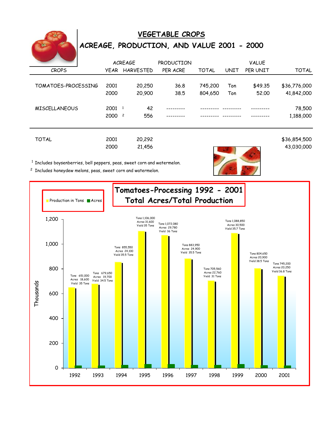

# **VEGETABLE CROPS ACREAGE, PRODUCTION, AND VALUE 2001 - 2000**

|                      |                        | <b>ACREAGE</b> | <b>PRODUCTION</b> |              |      | <b>VALUE</b> |              |
|----------------------|------------------------|----------------|-------------------|--------------|------|--------------|--------------|
| <b>CROPS</b>         |                        | YEAR HARVESTED | PER ACRE          | <b>TOTAL</b> | UNIT | PER UNIT     | <b>TOTAL</b> |
|                      |                        |                |                   |              |      |              |              |
| TOMATOES-PROCESSING  | 2001                   | 20,250         | 36.8              | 745,200      | Ton  | \$49.35      | \$36,776,000 |
|                      | 2000                   | 20,900         | 38.5              | 804,650      | Ton  | 52.00        | 41,842,000   |
|                      |                        |                |                   |              |      |              |              |
| <b>MISCELLANEOUS</b> | 2001<br>$\overline{1}$ | 42             |                   |              |      |              | 78,500       |
|                      | 2000 <sup>2</sup>      | 556            |                   |              |      |              | 1,188,000    |
|                      |                        |                |                   |              |      |              |              |
|                      |                        |                |                   |              |      |              |              |
| <b>TOTAL</b>         | 2001                   | 20,292         |                   |              |      |              | \$36,854,500 |

2000 21,456 43,030,000

 $1$  Includes boysenberries, bell peppers, peas, sweet corn and watermelon.

<sup>2</sup> Includes honeydew melons, peas, sweet corn and watermelon.

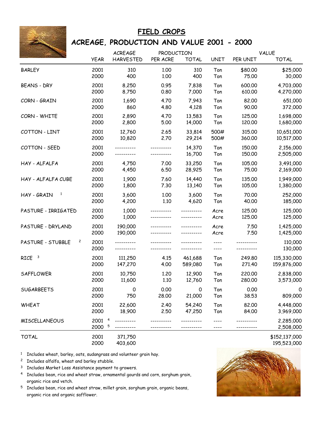

#### **FIELD CROPS**

### **ACREAGE, PRODUCTION AND VALUE 2001 - 2000**

|                                     |                                     | <b>ACREAGE</b>     | PRODUCTION |                  |              |                  | <b>VALUE</b>           |
|-------------------------------------|-------------------------------------|--------------------|------------|------------------|--------------|------------------|------------------------|
|                                     | <b>YEAR</b>                         | <b>HARVESTED</b>   | PER ACRE   | <b>TOTAL</b>     | <b>UNIT</b>  | PER UNIT         | <b>TOTAL</b>           |
| <b>BARLEY</b>                       | 2001                                | 310                | 1.00       | 310              | Ton          | \$80,00          | \$25,000               |
|                                     | 2000                                | 400                | 1.00       | 400              | Ton          | 75.00            | 30,000                 |
| <b>BEANS - DRY</b>                  | 2001                                | 8,250              | 0.95       | 7,838            | Ton          | 600.00           | 4,703,000              |
|                                     | 2000                                | 8,750              | 0.80       | 7,000            | Ton          | 610.00           | 4,270,000              |
| CORN-GRAIN                          | 2001                                | 1,690              | 4.70       | 7,943            | Ton          | 82.00            | 651,000                |
|                                     | 2000                                | 860                | 4.80       | 4,128            | Ton          | 90.00            | 372,000                |
| CORN - WHITE                        | 2001                                | 2,890              | 4.70       | 13,583           | Ton          | 125.00           | 1,698,000              |
|                                     | 2000                                | 2,800              | 5.00       | 14,000           | Ton          | 120.00           | 1,680,000              |
| COTTON - LINT                       | 2001                                | 12,760             | 2.65       | 33,814           | 500#         | 315.00           | 10,651,000             |
|                                     | 2000                                | 10,820             | 2.70       | 29,214           | 500#         | 360.00           | 10,517,000             |
| COTTON - SEED                       | 2001<br>2000                        |                    |            | 14,370<br>16,700 | Ton<br>Ton   | 150.00<br>150.00 | 2,156,000<br>2,505,000 |
| HAY - ALFALFA                       | 2001                                | 4,750              | 7.00       | 33,250           | Ton          | 105.00           | 3,491,000              |
|                                     | 2000                                | 4,450              | 6.50       | 28,925           | Ton          | 75.00            | 2,169,000              |
| HAY - ALFALFA CUBE                  | 2001                                | 1,900              | 7.60       | 14,440           | Ton          | 135.00           | 1,949,000              |
|                                     | 2000                                | 1,800              | 7.30       | 13,140           | Ton          | 105.00           | 1,380,000              |
| $\mathbf{1}$                        | 2001                                | 3,600              | 1.00       | 3,600            | Ton          | 70.00            | 252,000                |
| HAY - GRAIN                         | 2000                                | 4,200              | 1.10       | 4,620            | Ton          | 40.00            | 185,000                |
| PASTURE - IRRIGATED                 | 2001<br>2000                        | 1,000<br>1,000     |            |                  | Acre<br>Acre | 125.00<br>125.00 | 125,000<br>125,000     |
| PASTURE - DRYLAND                   | 2001<br>2000                        | 190,000<br>190,000 |            |                  | Acre<br>Acre | 7.50<br>7.50     | 1,425,000<br>1,425,000 |
| $\overline{c}$<br>PASTURE - STUBBLE | 2001<br>2000                        | -----------        |            |                  | ----         | -----------      | 110,000<br>130,000     |
| $\overline{\mathbf{3}}$             | 2001                                | 111,250            | 4.15       | 461,688          | Ton          | 249.80           | 115,330,000            |
| <b>RICE</b>                         | 2000                                | 147,270            | 4.00       | 589,080          | Ton          | 271.40           | 159,876,000            |
| <b>SAFFLOWER</b>                    | 2001                                | 10,750             | 1.20       | 12,900           | Ton          | 220.00           | 2,838,000              |
|                                     | 2000                                | 11,600             | 1.10       | 12,760           | Ton          | 280.00           | 3,573,000              |
| <b>SUGARBEETS</b>                   | 2001                                | 0                  | 0.00       | 0                | Ton          | 0.00             | 0                      |
|                                     | 2000                                | 750                | 28.00      | 21,000           | Ton          | 38.53            | 809,000                |
| <b>WHEAT</b>                        | 2001                                | 22,600             | 2.40       | 54,240           | Ton          | 82.00            | 4,448,000              |
|                                     | 2000                                | 18,900             | 2.50       | 47,250           | Ton          | 84.00            | 3,969,000              |
| MISCELLANEOUS                       | 2001<br>$\overline{4}$<br>2000<br>5 |                    |            |                  | ----         |                  | 2,285,000<br>2,508,000 |
| <b>TOTAL</b>                        | 2001                                | 371,750            |            |                  |              |                  | \$152,137,000          |

<sup>1</sup> Includes wheat, barley, oats, sudangrass and volunteer grain hay.

<sup>2</sup> Includes alfalfa, wheat and barley stubble.

<sup>3</sup> Includes Market Loss Assistance payment to growers.

<sup>4</sup> Includes bean, rice and wheat straw, ornamental gourds and corn, sorghum grain, organic rice and vetch.

<sup>5</sup> Includes bean, rice and wheat straw, millet grain, sorghum grain, organic beans, organic rice and organic safflower.



2000 403,600 195,523,000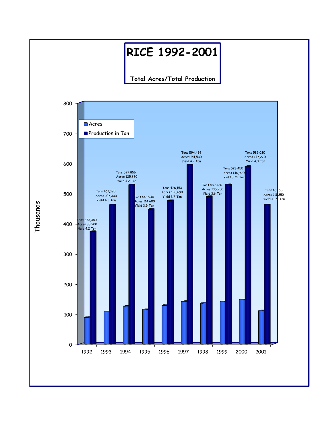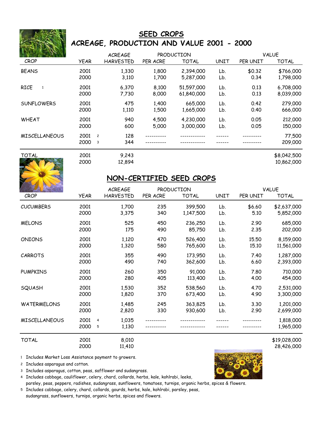

### **SEED CROPS ACREAGE, PRODUCTION AND VALUE 2001 - 2000**

|                      |             | <b>ACREAGE</b>        |          | PRODUCTION   |      |          | <b>VALUE</b> |
|----------------------|-------------|-----------------------|----------|--------------|------|----------|--------------|
| <b>CROP</b>          | <b>YEAR</b> | <b>HARVESTED</b>      | PER ACRE | <b>TOTAL</b> | UNIT | PER UNIT | <b>TOTAL</b> |
| <b>BEANS</b>         | 2001        | 1,330                 | 1,800    | 2,394,000    | Lb.  | \$0.32   | \$766,000    |
|                      | 2000        | 3,110                 | 1,700    | 5,287,000    | Lb.  | 0.34     | 1,798,000    |
| <b>RICE</b><br>1     | 2001        | 6.370                 | 8,100    | 51,597,000   | Lb.  | 0.13     | 6,708,000    |
|                      | 2000        | 7,730                 | 8,000    | 61,840,000   | Lb.  | 0.13     | 8,039,000    |
| <b>SUNFLOWERS</b>    | 2001        | 475                   | 1,400    | 665,000      | Lb.  | 0.42     | 279,000      |
|                      | 2000        | 1,110                 | 1,500    | 1,665,000    | Lb.  | 0.40     | 666,000      |
| <b>WHEAT</b>         | 2001        | 940                   | 4,500    | 4,230,000    | Lb.  | 0.05     | 212,000      |
|                      | 2000        | 600                   | 5,000    | 3,000,000    | Lb.  | 0.05     | 150,000      |
| <b>MISCELLANEOUS</b> | 2001        | 128<br>$\overline{c}$ |          |              |      |          | 77,500       |
|                      | 2000        | 344<br>3              |          |              |      |          | 209,000      |
| <b>TOTAL</b>         | 2001        | 9,243                 |          |              |      |          | \$8,042,500  |



2000 12,894 10,862,000

#### **NON-CERTIFIED SEED CROPS**

|                      |              | <b>ACREAGE</b>                        |          | <b>PRODUCTION</b> |      |          | <b>VALUE</b>           |
|----------------------|--------------|---------------------------------------|----------|-------------------|------|----------|------------------------|
| <b>CROP</b>          | <b>YEAR</b>  | <b>HARVESTED</b>                      | PER ACRE | <b>TOTAL</b>      | UNIT | PER UNIT | <b>TOTAL</b>           |
| <b>CUCUMBERS</b>     | 2001         | 1,700                                 | 235      | 399,500           | Lb.  | \$6.60   | \$2,637,000            |
|                      | 2000         | 3,375                                 | 340      | 1,147,500         | Lb.  | 5.10     | 5,852,000              |
| <b>MELONS</b>        | 2001         | 525                                   | 450      | 236,250           | Lb.  | 2.90     | 685,000                |
|                      | 2000         | 175                                   | 490      | 85,750            | Lb.  | 2.35     | 202,000                |
| <b>ONIONS</b>        | 2001         | 1,120                                 | 470      | 526,400           | Lb.  | 15.50    | 8,159,000              |
|                      | 2000         | 1,320                                 | 580      | 765,600           | Lb.  | 15.10    | 11,561,000             |
| <b>CARROTS</b>       | 2001         | 355                                   | 490      | 173,950           | Lb.  | 7.40     | 1,287,000              |
|                      | 2000         | 490                                   | 740      | 362,600           | Lb.  | 6.60     | 2,393,000              |
| <b>PUMPKINS</b>      | 2001         | 260                                   | 350      | 91,000            | Lb.  | 7.80     | 710,000                |
|                      | 2000         | 280                                   | 405      | 113,400           | Lb.  | 4.00     | 454,000                |
| SQUASH               | 2001         | 1,530                                 | 352      | 538,560           | Lb.  | 4.70     | 2,531,000              |
|                      | 2000         | 1,820                                 | 370      | 673,400           | Lb.  | 4.90     | 3,300,000              |
| <b>WATERMELONS</b>   | 2001         | 1,485                                 | 245      | 363,825           | Lb.  | 3.30     | 1,201,000              |
|                      | 2000         | 2,820                                 | 330      | 930,600           | Lb.  | 2.90     | 2,699,000              |
| <b>MISCELLANEOUS</b> | 2001<br>2000 | 1,035<br>$\overline{4}$<br>1,130<br>5 |          |                   |      |          | 1,818,000<br>1,965,000 |
|                      |              |                                       |          |                   |      |          |                        |

TOTAL 2001 8,010 8.000 \$19,028,000 2000 11,410 28,426,000

1 Includes Market Loss Assistance payment to growers.

2 Includes asparagus and cotton.

3 Includes asparagus, cotton, peas, safflower and sudangrass.

4 Includes cabbage, cauliflower, celery, chard, collards, herbs, kale, kohlrabi, leeks, parsley, peas, peppers, radishes, sudangrass, sunflowers, tomatoes, turnips, organic herbs, spices & flowers.

5 Includes cabbage, celery, chard, collards, gourds, herbs, kale, kohlrabi, parsley, peas, sudangrass, sunflowers, turnips, organic herbs, spices and flowers.

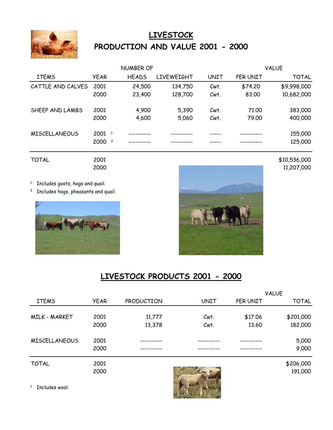

# **LIVESTOCK PRODUCTION AND VALUE 2001 - 2000**

|                      |                                  | <b>NUMBER OF</b> |                   |      |          | <b>VALUE</b> |
|----------------------|----------------------------------|------------------|-------------------|------|----------|--------------|
| <b>ITEMS</b>         | <b>YEAR</b>                      | <b>HEADS</b>     | <b>LIVEWEIGHT</b> | UNIT | PER UNIT | <b>TOTAL</b> |
| CATTLE AND CALVES    | 2001                             | 24,500           | 134,750           | Cwt. | \$74.20  | \$9,998,000  |
|                      | 2000                             | 23,400           | 128,700           | Cwt. | 83,00    | 10,682,000   |
| SHEEP AND LAMBS      | 2001                             | 4,900            | 5,390             | Cwt. | 71,00    | 383,000      |
|                      | 2000                             | 4,600            | 5,060             | Cwt. | 79.00    | 400,000      |
| <b>MISCELLANEOUS</b> | $2001$ <sup>1</sup>              |                  |                   |      |          | 155,000      |
|                      | 2000<br>$\overline{\phantom{a}}$ |                  |                   |      |          | 125,000      |

<sup>1</sup> Includes goats, hogs and quail.

<sup>2</sup> Includes hogs, pheasants and quail.





## **LIVESTOCK PRODUCTS 2001 - 2000**

|                      |             |            |             |          | <b>VALUE</b> |
|----------------------|-------------|------------|-------------|----------|--------------|
| <b>ITEMS</b>         | <b>YEAR</b> | PRODUCTION | <b>UNIT</b> | PER UNIT | <b>TOTAL</b> |
|                      |             |            |             |          |              |
| MILK - MARKET        | 2001        | 11,777     | Cwt.        | \$17.06  | \$201,000    |
|                      | 2000        | 13,378     | Cwt.        | 13.60    | 182,000      |
| <b>MISCELLANEOUS</b> | 2001        |            |             |          | 5,000        |
|                      | 2000        |            |             |          | 9,000        |
| <b>TOTAL</b>         | 2001        |            |             |          | \$206,000    |
|                      | 2000        |            |             |          | 191,000      |

<sup>1</sup> Includes wool.



TOTAL 2001 2001 2001 2001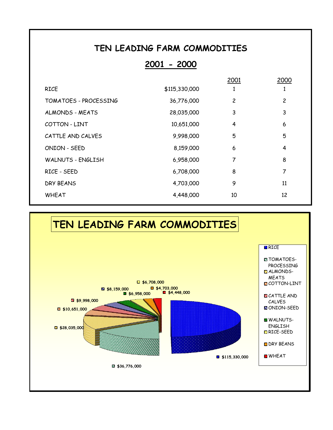## **TEN LEADING FARM COMMODITIES**

## **2001 - 2000**

|                          |               | 2001           | 2000           |
|--------------------------|---------------|----------------|----------------|
| <b>RICE</b>              | \$115,330,000 |                |                |
| TOMATOES - PROCESSING    | 36,776,000    | $\overline{c}$ | $\overline{c}$ |
| ALMONDS - MEATS          | 28,035,000    | 3              | 3              |
| COTTON - LINT            | 10,651,000    | 4              | 6              |
| CATTLE AND CALVES        | 9,998,000     | 5              | 5              |
| ONION - SEED             | 8,159,000     | 6              | 4              |
| <b>WALNUTS - ENGLISH</b> | 6,958,000     | 7              | 8              |
| RICE - SEED              | 6,708,000     | 8              | 7              |
| DRY BEANS                | 4,703,000     | 9              | 11             |
| <b>WHEAT</b>             | 4,448,000     | 10             | 12             |
|                          |               |                |                |

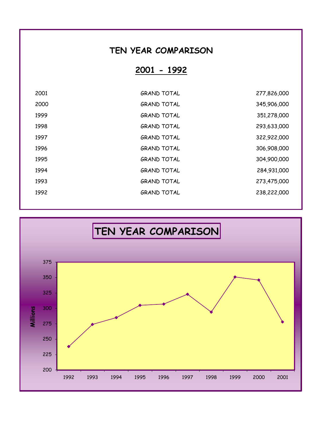## **TEN YEAR COMPARISON**

**2001 - 1992**

| 2001 | <b>GRAND TOTAL</b> | 277,826,000 |
|------|--------------------|-------------|
| 2000 | <b>GRAND TOTAL</b> | 345,906,000 |
| 1999 | <b>GRAND TOTAL</b> | 351,278,000 |
| 1998 | <b>GRAND TOTAL</b> | 293,633,000 |
| 1997 | <b>GRAND TOTAL</b> | 322,922,000 |
| 1996 | <b>GRAND TOTAL</b> | 306,908,000 |
| 1995 | <b>GRAND TOTAL</b> | 304,900,000 |
| 1994 | <b>GRAND TOTAL</b> | 284,931,000 |
| 1993 | <b>GRAND TOTAL</b> | 273,475,000 |
| 1992 | <b>GRAND TOTAL</b> | 238,222,000 |
|      |                    |             |